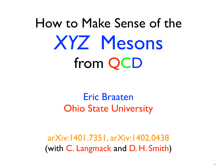# How to Make Sense of the *XYZ* Mesons from QCD

## Eric Braaten Ohio State University

arXiv:1401.7351, arXiv:1402.0438 (with C. Langmack and D. H. Smith)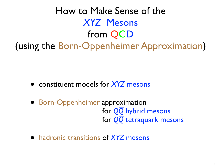How to Make Sense of the *XYZ* Mesons from QCD (using the Born-Oppenheimer Approximation)

- constituent models for *XYZ* mesons
- Born-Oppenheimer approximation for *QQ* hybrid mesons \_ for *QQ* tetraquark mesons
- hadronic transitions of *XYZ* mesons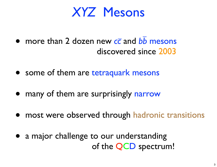## *XYZ* Mesons

- more than 2 dozen new *cc* and *bb* mesons discovered since 2003  $\overline{a}$   $\overline{a}$
- some of them are tetraquark mesons
- many of them are surprisingly narrow
- most were observed through hadronic transitions
- a major challenge to our understanding of the QCD spectrum!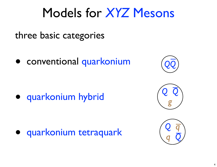## Models for *XYZ* Mesons

three basic categories

● conventional quarkonium

● quarkonium hybrid

● quarkonium tetraquark





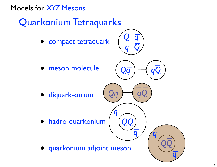### Models for *XYZ* Mesons

## Quarkonium Tetraquarks

- compact tetraquark
- *Q q q Q*  $\overline{\phantom{0}}$ \_

\_ *qQ*

 $\overline{\mathbf{C}}$ 

 $\overline{\phantom{0}}$ 

*QQ*

 $\frac{1}{\sqrt{2}}$ 

*q*

 $\overline{q}$   $\overline{q}$ 

*Qq*

*QQ*

*Qq qQ*

 $\frac{1}{\sqrt{2}}$ 

*q*

 $\overline{q}$ 

meson molecule

● diquark-onium

hadro-quarkonium

● quarkonium adjoint meson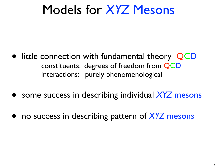## Models for *XYZ* Mesons

- little connection with fundamental theory QCD constituents: degrees of freedom from QCD interactions: purely phenomenological
- some success in describing individual *XYZ* mesons
- no success in describing pattern of *XYZ* mesons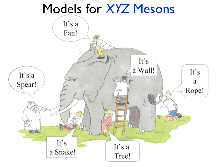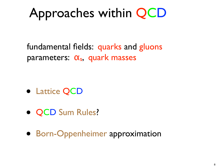# Approaches within QCD

fundamental fields: quarks and gluons parameters:  $\alpha_s$ , quark masses

- Lattice QCD
- QCD Sum Rules?
- Born-Oppenheimer approximation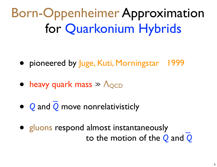Born-Oppenheimer Approximation for Quarkonium Hybrids

- ●pioneered by Juge, Kuti, Morningstar 1999
- heavy quark mass >> Λ<sub>OCD</sub>
- ● *Q* and *Q* move nonrelativisticly  $\overline{\phantom{a}}$
- gluons respond almost instantaneously to the motion of the *Q* and *Q*  $\overline{\phantom{a}}$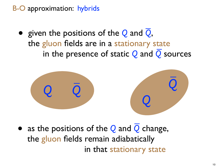●given the positions of the *Q* and *Q*, the gluon fields are in a stationary state in the presence of static *Q* and *Q* sources \_  $\overline{\phantom{a}}$ 



●as the positions of the *Q* and *Q* change, the gluon fields remain adiabatically in that stationary state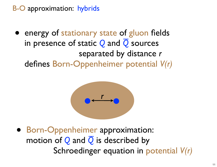●energy of stationary state of gluon fields in presence of static *Q* and *Q* sources separated by distance *r*  defines Born-Oppenheimer potential *V(r)* )†<br>—



**• Born-Oppenheimer approximation:**  motion of *Q* and *Q* is described by Schroedinger equation in potential *V(r)*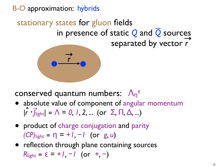# stationary states for gluon fields \_ in presence of static *Q* and *Q* sources and  $\overrightarrow{e}$  scale  $\overrightarrow{e}$  and  $\overrightarrow{e}$  sources



conserved quantum numbers: Λη ε

- absolute value of component of angular momentum  $|r \cdot \overline{f}_{\text{light}}|$  = Λ = 0, 1, 2, ... (or Σ, Π, Δ, ...) **^ →**
- ●product of charge conjugation and parity *(CP)*light ≡ η *= +1, −1* (or *g, u*)
- ●reflection through plane containing sources *R*light = ε = +*I*, −*I* (or +, −)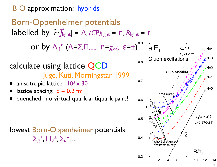calculate using lattice QCD Juge, Kuti, Morningstar 1999 anisotropic lattice:  $10^3 \times 30$ lattice spacing:  $a = 0.2$  fm quenched: no virtual quark-antiquark pairs! Born-Oppenheimer potentials labelled by  $|\hat{r} \cdot \vec{J}|\text{right} = \Lambda$ , (CP)<sub>light</sub> = n, R<sub>light</sub> =  $\epsilon$ or by Λη <sup>ε</sup>(Λ*=*Σ*,*Π*,...,* η*=g,u,* ε*=±*) 0.9 0.3 0.4 0.5 0.6 0.7 0.8 0 2 4 6 8 10 12 14  $\mathsf{a}_\mathsf{t}\mathsf{E}_\Gamma$  $R/a<sub>s</sub>$ Gluon excitations  $a_{s}/a_{t} = z^{*}5$ z=0.976(21)  $\beta = 2.5$  $a_{s}$ ~0.2 fm  $\Pi_{\mathsf{U}}$  $\Sigma_{\sf L}^{\dagger}$ u  $\Sigma_{\mathsf{G}}^+$ т,<br>g  $\Delta$ ğ  $\Pi$ g  $\Sigma_{\mathsf{C}}$ g  $\Pi'_{\mathcal{G}}$ ,<br>(  $\Pi_\mathsf{U}^{\prime}$ չ∔<br>?u u  $\Delta_{\mathsf{U}}$  $\Sigma_{g}^{+}$ short distance degeneracies crossover string ordering  $N=4$  $\lambda$ N=3  $\blacktriangleright$  N=2  $N=1$  $N=0$ lowest Born-Oppenheimer potentials:  $\sum_{g}^{+}$ ,  $\prod_{u}^{+}$ ,  $\sum_{u}^{-}$ , ...

13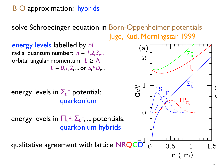solve Schroedinger equation in Born-Oppenheimer potentials Juge, Kuti, Morningstar 1999

energy levels labelled by *nL* radial quantum number:  $n = 1,2,3,...$ orbital angular momentum: *L* ≥ Λ *L = 0,1,2, ...* or *S,P,D,...* 

energy levels in Σ*<sup>g</sup> <sup>+</sup>* potential: quarkonium

energy levels in  $\prod_{u} \pm \sum_{u}$ , ... potentials: quarkonium hybrids

qualitative agreement with lattice NRQCD

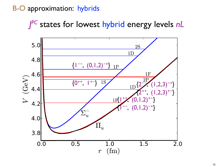*J PC* states for lowest hybrid energy levels *nL*

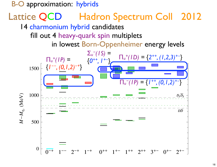## Lattice QCD Hadron Spectrum Coll 2012

14 charmonium hybrid candidates

fill out 4 heavy-quark spin multiplets

in lowest Born-Oppenheimer energy levels

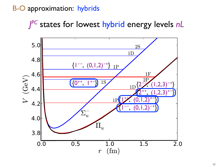*J PC* states for lowest hybrid energy levels *nL*

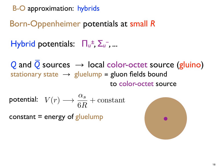B-O approximation: hybrids

## Born-Oppenheimer potentials at small *R*

Hybrid potentials: Π*<sup>u</sup> ± ,* Σ*<sup>u</sup>* -*, ...*

*Q* and *Q* sources *→* local color-octet source (gluino) stationary state  $\rightarrow$  gluelump = gluon fields bound to color-octet source  $\overline{\phantom{a}}$ 

$$
\text{potential:} \quad V(r) \longrightarrow \frac{\alpha_s}{6R} + \text{constant}
$$

constant  $=$  energy of gluelump

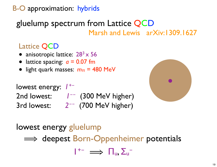## gluelump spectrum from Lattice QCD Marsh and Lewis arXiv:1309.1627

### Lattice QCD

- anisotropic lattice:  $28^3 \times 56$
- lattice spacing:  $a = 0.07$  fm
- light quark masses: *m*π = 480 MeV

lowest energy: *1+*- 2nd lowest: *1*-- (300 MeV higher) 3rd lowest: *2*-- (700 MeV higher)



### lowest energy gluelump

 $\implies$  deepest Born-Oppenheimer potentials

 $1^{+-} \implies \Box_u, \Sigma_u^-$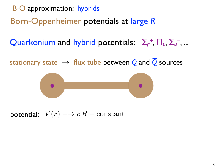B-O approximation: hybrids

Born-Oppenheimer potentials at large *R*

Quarkonium and hybrid potentials: Σ*<sup>g</sup> + ,* Π*u,* Σ*<sup>u</sup>* -*, ...*

stationary state → flux tube between *Q* and *Q* sources  $\overline{\phantom{a}}$ 



potential:  $V(r) \longrightarrow \sigma R + \text{constant}$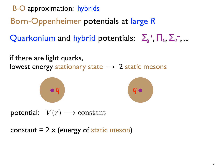B-O approximation: hybrids

Born-Oppenheimer potentials at large *R*

Quarkonium and hybrid potentials: Σ*<sup>g</sup> + ,* Π*u,* Σ*<sup>u</sup>* -*, ...*

if there are light quarks, lowest energy stationary state  $\rightarrow$  2 static mesons





 $\mathsf{potential:} \quad V(r) \longrightarrow \mathrm{constant}$ 

constant  $= 2 \times (energy \ of \ static \ meson)$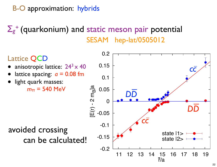## Σ*g <sup>+</sup>*(quarkonium) and static meson pair potential SESAM hep-lat/0505012

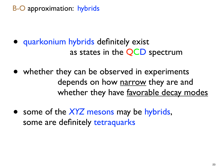- ●quarkonium hybrids definitely exist as states in the QCD spectrum
- ●whether they can be observed in experiments depends on how narrow they are and whether they have favorable decay modes
- some of the *XYZ* mesons may be hybrids, some are definitely tetraquarks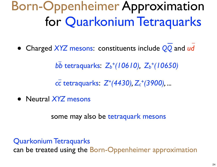# Born-Oppenheimer Approximation for Quarkonium Tetraquarks

● Charged *XYZ* mesons: constituents include *QQ* and *ud*  $\mathbf{I}$ 

 *bb* tetraquarks: *Zb +(10610), Zb +(10650)*  $\overline{\phantom{a}}$ 

 *cc* tetraquarks: *Z+(4430), Zc +(3900), ...*  $\overline{\phantom{a}}$ 

● Neutral *XYZ* mesons

some may also be tetraquark mesons

Quarkonium Tetraquarks

can be treated using the Born-Oppenheimer approximation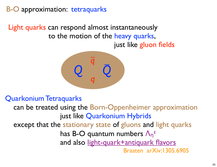### B-O approximation: tetraquarks

Light quarks can respond almost instantaneously to the motion of the heavy quarks, just like gluon fields



#### Quarkonium Tetraquarks

 can be treated using the Born-Oppenheimer approximation just like Quarkonium Hybrids except that the stationary state of gluons and light quarks has B-O quantum numbers  $\Lambda_n^{\epsilon}$ and also light-quark+antiquark flavors Braaten arXiv:1305.6905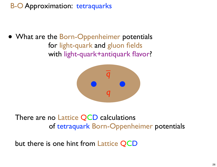B-O Approximation: tetraquarks

● What are the Born-Oppenheimer potentials for light-quark and gluon fields with light-quark+antiquark flavor?



There are no Lattice QCD calculations of tetraquark Born-Oppenheimer potentials

but there is one hint from Lattice QCD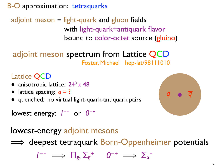B-O approximation: tetraquarks

## adjoint meson  $=$  light-quark and gluon fields with light-quark+antiquark flavor bound to color-octet source (gluino)

# adjoint meson spectrum from Lattice QCD<br>Foster, Michael hep-lat/98111010

### Lattice QCD

- anisotropic lattice:  $24^3 \times 48$
- lattice spacing:  $a = ?$
- quenched: no virtual light-quark-antiquark pairs

lowest energy:  $I^{--}$  or  $0^{-+}$ 



lowest-energy adjoint mesons

 $\implies$  deepest tetraquark Born-Oppenheimer potentials

 $1^{--} \implies \Box_g, \Sigma_g^+ \qquad 0^{-+} \implies \Sigma_u^-$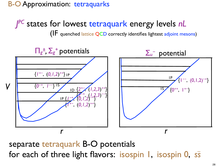B-O Approximation: tetraquarks

*J PC* states for lowest tetraquark energy levels *nL*

(IF quenched lattice QCD correctly identifies lightest adjoint mesons)



separate tetraquark B-O potentials for each of three light flavors: isospin 1, isospin 0, *ss*  $\overline{\phantom{a}}$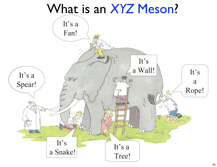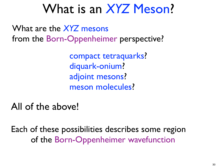What are the *XYZ* mesons from the Born-Oppenheimer perspective?

> compact tetraquarks? diquark-onium? adjoint mesons? meson molecules?

All of the above!

Each of these possibilities describes some region of the Born-Oppenheimer wavefunction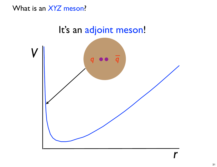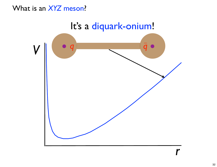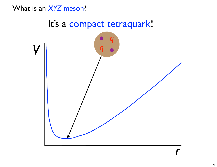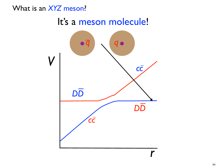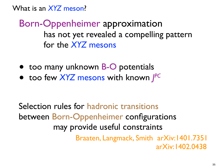Born-Oppenheimer approximation has not yet revealed a compelling pattern for the *XYZ* mesons

- too many unknown **B-O** potentials
- too few *XYZ* mesons with known *J PC*

Selection rules for hadronic transitions between Born-Oppenheimer configurations may provide useful constraints

Braaten, Langmack, Smith arXiv:1401.7351 arXiv:1402.0438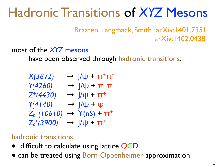# Hadronic Transitions of *XYZ* Mesons

Braaten, Langmack, Smith arXiv:1401.7351 arXiv:1402.0438

### most of the *XYZ* mesons

have been observed through hadronic transitions:

| X(3872)                    | $\rightarrow$ $\mu$ + $\pi$ <sup>+</sup> $\pi$ <sup>-</sup> |
|----------------------------|-------------------------------------------------------------|
| Y(4260)                    | $\rightarrow$ $\mu$ + $\pi$ <sup>+</sup> $\pi$ <sup>-</sup> |
| $Z^+(4430)$                | $\rightarrow$ $\int$ / $\psi$ + $\pi$ <sup>+</sup>          |
| Y(4 40)                    | $\rightarrow$ $\frac{1}{\psi} + \varphi$                    |
| $Z_b$ <sup>+</sup> (10610) | $\rightarrow$ Y(nS) + $\pi$ <sup>+</sup>                    |
| $Z_c^{+}(3900)$            | $\rightarrow$ $\mathcal{U} + \pi^{+}$                       |

#### hadronic transitions

- difficult to calculate using lattice QCD
- can be treated using Born-Oppenheimer approximation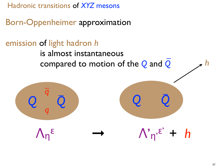Hadronic transitions of *XYZ* mesons

Born-Oppenheimer approximation

## emission of light hadron *h*

#### is almost instantaneous compared to motion of the *Q* and *Q*  $\frac{1}{2}$   $\frac{1}{2}$

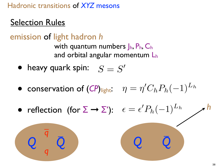### Hadronic transitions of *XYZ* mesons

## **Selection Rules**

*Q Q*

 $\overline{a}$ 

*q*

*q* \_

emission of light hadron *h* with quantum numbers  $J_h$ ,  $P_h$ ,  $C_h$ and orbital angular momentum Lh

- heavy quark spin:  $S = S'$
- conservation of  $(CP)_{light}$ :  $\eta = \eta'$  $C_h P_h(-1)^{L_h}$
- reflection (for  $\Sigma \rightarrow \Sigma'$ ):  $\epsilon = \epsilon'$  $P_h(-1)^{L_h}$ *h*

*Q Q*

 $\overline{\phantom{a}}$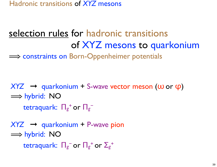Hadronic transitions of *XYZ* mesons

## selection rules for hadronic transitions of XYZ mesons to quarkonium

 $\implies$  constraints on Born-Oppenheimer potentials

*XYZ* ➞quarkonium + S-wave vector meson (ω or φ) **⇒ hybrid: NO** tetraquark: Π*<sup>g</sup> <sup>+</sup>*or Π*<sup>g</sup> −*

*XYZ* → **quarkonium** + P-wave pion **⇒ hybrid: NO** tetraquark:  $\prod_{g}$ <sup>-</sup> or  $\prod_{g}$ <sup>+</sup> or  $\sum_{g}$ <sup>+</sup>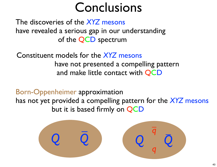# Conclusions

The discoveries of the *XYZ* mesons have revealed a serious gap in our understanding of the QCD spectrum

Constituent models for the *XYZ* mesons have not presented a compelling pattern and make little contact with QCD

Born-Oppenheimer approximation has not yet provided a compelling pattern for the *XYZ* mesons but it is based firmly on QCD